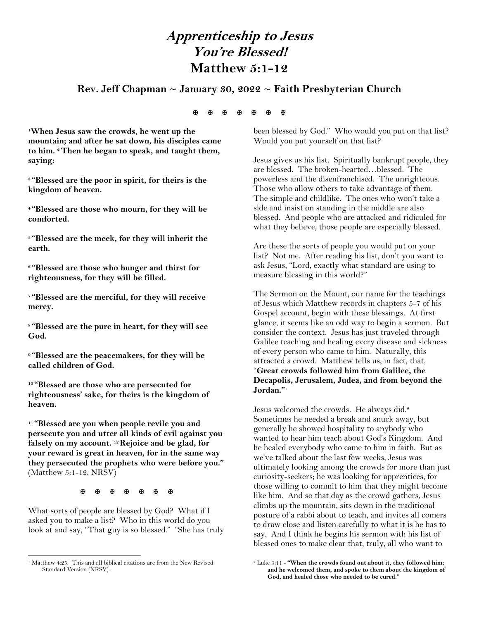# **Apprenticeship to Jesus You're Blessed! Matthew 5:1-12**

# **Rev. Jeff Chapman ~ January 30, 2022 ~ Faith Presbyterian Church**

#### **A A A A A A A**

**<sup>1</sup>When Jesus saw the crowds, he went up the mountain; and after he sat down, his disciples came to him. <sup>2</sup>Then he began to speak, and taught them, saying:**

**<sup>3</sup> "Blessed are the poor in spirit, for theirs is the kingdom of heaven.**

**<sup>4</sup> "Blessed are those who mourn, for they will be comforted.**

**<sup>5</sup> "Blessed are the meek, for they will inherit the earth.**

**<sup>6</sup> "Blessed are those who hunger and thirst for righteousness, for they will be filled.**

**<sup>7</sup> "Blessed are the merciful, for they will receive mercy.**

**<sup>8</sup> "Blessed are the pure in heart, for they will see God.**

**<sup>9</sup> "Blessed are the peacemakers, for they will be called children of God.**

**<sup>10</sup> "Blessed are those who are persecuted for righteousness' sake, for theirs is the kingdom of heaven.**

**<sup>11</sup> "Blessed are you when people revile you and persecute you and utter all kinds of evil against you falsely on my account. <sup>12</sup>Rejoice and be glad, for your reward is great in heaven, for in the same way they persecuted the prophets who were before you."** (Matthew 5:1-12, NRSV)

**A A A A A A A** 

What sorts of people are blessed by God? What if I asked you to make a list? Who in this world do you look at and say, "That guy is so blessed." "She has truly

 $\overline{\phantom{a}}$ 

been blessed by God." Who would you put on that list? Would you put yourself on that list?

Jesus gives us his list. Spiritually bankrupt people, they are blessed. The broken-hearted…blessed. The powerless and the disenfranchised. The unrighteous. Those who allow others to take advantage of them. The simple and childlike. The ones who won't take a side and insist on standing in the middle are also blessed. And people who are attacked and ridiculed for what they believe, those people are especially blessed.

Are these the sorts of people you would put on your list? Not me. After reading his list, don't you want to ask Jesus, "Lord, exactly what standard are using to measure blessing in this world?"

The Sermon on the Mount, our name for the teachings of Jesus which Matthew records in chapters 5-7 of his Gospel account, begin with these blessings. At first glance, it seems like an odd way to begin a sermon. But consider the context. Jesus has just traveled through Galilee teaching and healing every disease and sickness of every person who came to him. Naturally, this attracted a crowd. Matthew tells us, in fact, that, "**Great crowds followed him from Galilee, the Decapolis, Jerusalem, Judea, and from beyond the Jordan."<sup>1</sup>**

Jesus welcomed the crowds. He always did.<sup>2</sup> Sometimes he needed a break and snuck away, but generally he showed hospitality to anybody who wanted to hear him teach about God's Kingdom. And he healed everybody who came to him in faith. But as we've talked about the last few weeks, Jesus was ultimately looking among the crowds for more than just curiosity-seekers; he was looking for apprentices, for those willing to commit to him that they might become like him. And so that day as the crowd gathers, Jesus climbs up the mountain, sits down in the traditional posture of a rabbi about to teach, and invites all comers to draw close and listen carefully to what it is he has to say. And I think he begins his sermon with his list of blessed ones to make clear that, truly, all who want to

<sup>&</sup>lt;sup>1</sup> Matthew 4:25. This and all biblical citations are from the New Revised Standard Version (NRSV).

<sup>2</sup> Luke 9:11 - **"When the crowds found out about it, they followed him; and he welcomed them, and spoke to them about the kingdom of God, and healed those who needed to be cured."**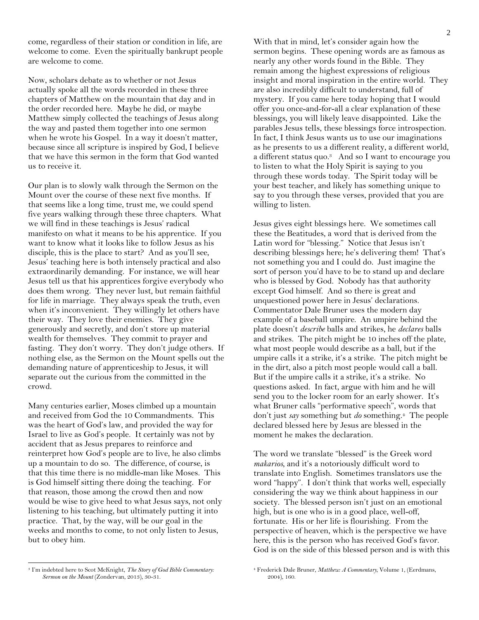come, regardless of their station or condition in life, are welcome to come. Even the spiritually bankrupt people are welcome to come.

Now, scholars debate as to whether or not Jesus actually spoke all the words recorded in these three chapters of Matthew on the mountain that day and in the order recorded here. Maybe he did, or maybe Matthew simply collected the teachings of Jesus along the way and pasted them together into one sermon when he wrote his Gospel. In a way it doesn't matter, because since all scripture is inspired by God, I believe that we have this sermon in the form that God wanted us to receive it.

Our plan is to slowly walk through the Sermon on the Mount over the course of these next five months. If that seems like a long time, trust me, we could spend five years walking through these three chapters. What we will find in these teachings is Jesus' radical manifesto on what it means to be his apprentice. If you want to know what it looks like to follow Jesus as his disciple, this is the place to start? And as you'll see, Jesus' teaching here is both intensely practical and also extraordinarily demanding. For instance, we will hear Jesus tell us that his apprentices forgive everybody who does them wrong. They never lust, but remain faithful for life in marriage. They always speak the truth, even when it's inconvenient. They willingly let others have their way. They love their enemies. They give generously and secretly, and don't store up material wealth for themselves. They commit to prayer and fasting. They don't worry. They don't judge others. If nothing else, as the Sermon on the Mount spells out the demanding nature of apprenticeship to Jesus, it will separate out the curious from the committed in the crowd.

Many centuries earlier, Moses climbed up a mountain and received from God the 10 Commandments. This was the heart of God's law, and provided the way for Israel to live as God's people. It certainly was not by accident that as Jesus prepares to reinforce and reinterpret how God's people are to live, he also climbs up a mountain to do so. The difference, of course, is that this time there is no middle-man like Moses. This is God himself sitting there doing the teaching. For that reason, those among the crowd then and now would be wise to give heed to what Jesus says, not only listening to his teaching, but ultimately putting it into practice. That, by the way, will be our goal in the weeks and months to come, to not only listen to Jesus, but to obey him.

<sup>3</sup> I'm indebted here to Scot McKnight, *The Story of God Bible Commentary: Sermon on the Mount* (Zondervan, 2013), 30-31.

 $\overline{\phantom{a}}$ 

With that in mind, let's consider again how the sermon begins. These opening words are as famous as nearly any other words found in the Bible. They remain among the highest expressions of religious insight and moral inspiration in the entire world. They are also incredibly difficult to understand, full of mystery. If you came here today hoping that I would offer you once-and-for-all a clear explanation of these blessings, you will likely leave disappointed. Like the parables Jesus tells, these blessings force introspection. In fact, I think Jesus wants us to use our imaginations as he presents to us a different reality, a different world, a different status quo.<sup>3</sup> And so I want to encourage you to listen to what the Holy Spirit is saying to you through these words today. The Spirit today will be your best teacher, and likely has something unique to say to you through these verses, provided that you are willing to listen.

Jesus gives eight blessings here. We sometimes call these the Beatitudes, a word that is derived from the Latin word for "blessing." Notice that Jesus isn't describing blessings here; he's delivering them! That's not something you and I could do. Just imagine the sort of person you'd have to be to stand up and declare who is blessed by God. Nobody has that authority except God himself. And so there is great and unquestioned power here in Jesus' declarations. Commentator Dale Bruner uses the modern day example of a baseball umpire. An umpire behind the plate doesn't *describe* balls and strikes, he *declares* balls and strikes. The pitch might be 10 inches off the plate, what most people would describe as a ball, but if the umpire calls it a strike, it's a strike. The pitch might be in the dirt, also a pitch most people would call a ball. But if the umpire calls it a strike, it's a strike. No questions asked. In fact, argue with him and he will send you to the locker room for an early shower. It's what Bruner calls "performative speech", words that don't just *say* something but *do* something.4 The people declared blessed here by Jesus are blessed in the moment he makes the declaration.

The word we translate "blessed" is the Greek word *makarios*, and it's a notoriously difficult word to translate into English. Sometimes translators use the word "happy". I don't think that works well, especially considering the way we think about happiness in our society. The blessed person isn't just on an emotional high, but is one who is in a good place, well-off, fortunate. His or her life is flourishing. From the perspective of heaven, which is the perspective we have here, this is the person who has received God's favor. God is on the side of this blessed person and is with this

<sup>4</sup> Frederick Dale Bruner, *Matthew: A Commentary,* Volume 1, (Eerdmans, 2004), 160.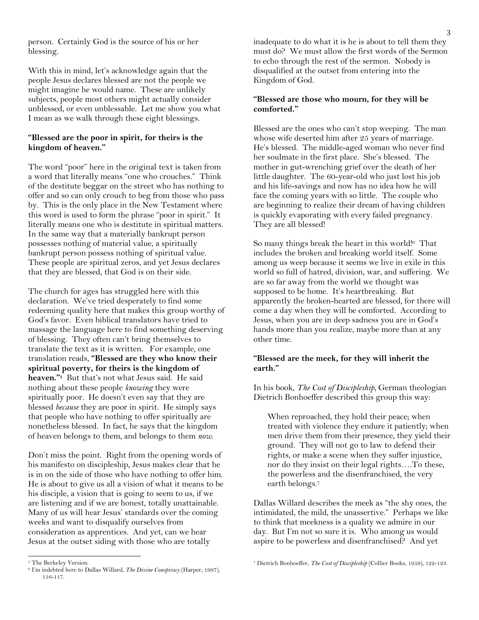person. Certainly God is the source of his or her blessing.

With this in mind, let's acknowledge again that the people Jesus declares blessed are not the people we might imagine he would name. These are unlikely subjects, people most others might actually consider unblessed, or even unblessable. Let me show you what I mean as we walk through these eight blessings.

#### **"Blessed are the poor in spirit, for theirs is the kingdom of heaven."**

The word "poor" here in the original text is taken from a word that literally means "one who crouches." Think of the destitute beggar on the street who has nothing to offer and so can only crouch to beg from those who pass by. This is the only place in the New Testament where this word is used to form the phrase "poor in spirit." It literally means one who is destitute in spiritual matters. In the same way that a materially bankrupt person possesses nothing of material value, a spiritually bankrupt person possess nothing of spiritual value. These people are spiritual zeros, and yet Jesus declares that they are blessed, that God is on their side.

The church for ages has struggled here with this declaration. We've tried desperately to find some redeeming quality here that makes this group worthy of God's favor. Even biblical translators have tried to massage the language here to find something deserving of blessing. They often can't bring themselves to translate the text as it is written. For example, one translation reads, **"Blessed are they who know their spiritual poverty, for theirs is the kingdom of heaven."<sup>5</sup>** But that's not what Jesus said. He said nothing about these people *knowing* they were spiritually poor. He doesn't even say that they are blessed *because* they are poor in spirit. He simply says that people who have nothing to offer spiritually are nonetheless blessed. In fact, he says that the kingdom of heaven belongs to them, and belongs to them *now*.

Don't miss the point. Right from the opening words of his manifesto on discipleship, Jesus makes clear that he is in on the side of those who have nothing to offer him. He is about to give us all a vision of what it means to be his disciple, a vision that is going to seem to us, if we are listening and if we are honest, totally unattainable. Many of us will hear Jesus' standards over the coming weeks and want to disqualify ourselves from consideration as apprentices. And yet, can we hear Jesus at the outset siding with those who are totally

l

inadequate to do what it is he is about to tell them they must do? We must allow the first words of the Sermon to echo through the rest of the sermon. Nobody is disqualified at the outset from entering into the Kingdom of God.

#### **"Blessed are those who mourn, for they will be comforted."**

Blessed are the ones who can't stop weeping. The man whose wife deserted him after 25 years of marriage. He's blessed. The middle-aged woman who never find her soulmate in the first place. She's blessed. The mother in gut-wrenching grief over the death of her little daughter. The 60-year-old who just lost his job and his life-savings and now has no idea how he will face the coming years with so little. The couple who are beginning to realize their dream of having children is quickly evaporating with every failed pregnancy. They are all blessed!

So many things break the heart in this world! <sup>6</sup> That includes the broken and breaking world itself. Some among us weep because it seems we live in exile in this world so full of hatred, division, war, and suffering. We are so far away from the world we thought was supposed to be home. It's heartbreaking. But apparently the broken-hearted are blessed, for there will come a day when they will be comforted. According to Jesus, when you are in deep sadness you are in God's hands more than you realize, maybe more than at any other time.

### **"Blessed are the meek, for they will inherit the earth."**

In his book, *The Cost of Discipleship,* German theologian Dietrich Bonhoeffer described this group this way:

When reproached, they hold their peace; when treated with violence they endure it patiently; when men drive them from their presence, they yield their ground. They will not go to law to defend their rights, or make a scene when they suffer injustice, nor do they insist on their legal rights….To these, the powerless and the disenfranchised, the very earth belongs.<sup>7</sup>

Dallas Willard describes the meek as "the shy ones, the intimidated, the mild, the unassertive." Perhaps we like to think that meekness is a quality we admire in our day. But I'm not so sure it is. Who among us would aspire to be powerless and disenfranchised? And yet

<sup>5</sup> The Berkeley Version.

<sup>6</sup> I'm indebted here to Dallas Willard, *The Divine Conspiracy* (Harper, 1997), 116-117.

<sup>7</sup> Dietrich Bonhoeffer, *The Cost of Discipleship* (Collier Books, 1959), 122-123.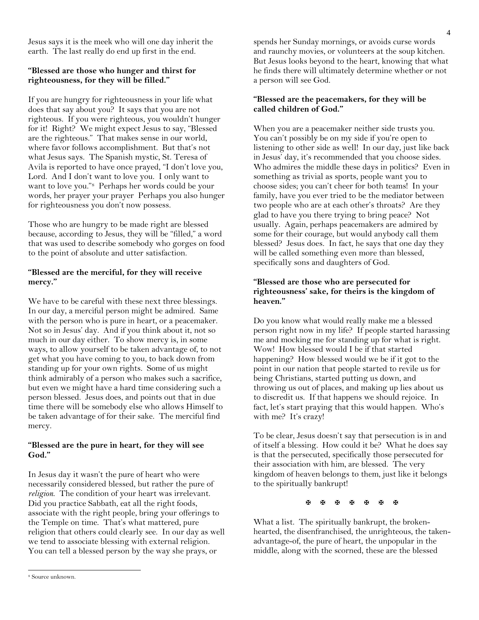Jesus says it is the meek who will one day inherit the earth. The last really do end up first in the end.

#### **"Blessed are those who hunger and thirst for righteousness, for they will be filled."**

If you are hungry for righteousness in your life what does that say about you? It says that you are not righteous. If you were righteous, you wouldn't hunger for it! Right? We might expect Jesus to say, "Blessed are the righteous." That makes sense in our world, where favor follows accomplishment. But that's not what Jesus says. The Spanish mystic, St. Teresa of Avila is reported to have once prayed, "I don't love you, Lord. And I don't want to love you. I only want to want to love you."8 Perhaps her words could be your words, her prayer your prayer Perhaps you also hunger for righteousness you don't now possess.

Those who are hungry to be made right are blessed because, according to Jesus, they will be "filled," a word that was used to describe somebody who gorges on food to the point of absolute and utter satisfaction.

#### **"Blessed are the merciful, for they will receive mercy."**

We have to be careful with these next three blessings. In our day, a merciful person might be admired. Same with the person who is pure in heart, or a peacemaker. Not so in Jesus' day. And if you think about it, not so much in our day either. To show mercy is, in some ways, to allow yourself to be taken advantage of, to not get what you have coming to you, to back down from standing up for your own rights. Some of us might think admirably of a person who makes such a sacrifice, but even we might have a hard time considering such a person blessed. Jesus does, and points out that in due time there will be somebody else who allows Himself to be taken advantage of for their sake. The merciful find mercy.

#### **"Blessed are the pure in heart, for they will see God."**

In Jesus day it wasn't the pure of heart who were necessarily considered blessed, but rather the pure of *religion*. The condition of your heart was irrelevant. Did you practice Sabbath, eat all the right foods, associate with the right people, bring your offerings to the Temple on time. That's what mattered, pure religion that others could clearly see. In our day as well we tend to associate blessing with external religion. You can tell a blessed person by the way she prays, or

#### **"Blessed are the peacemakers, for they will be called children of God."**

When you are a peacemaker neither side trusts you. You can't possibly be on my side if you're open to listening to other side as well! In our day, just like back in Jesus' day, it's recommended that you choose sides. Who admires the middle these days in politics? Even in something as trivial as sports, people want you to choose sides; you can't cheer for both teams! In your family, have you ever tried to be the mediator between two people who are at each other's throats? Are they glad to have you there trying to bring peace? Not usually. Again, perhaps peacemakers are admired by some for their courage, but would anybody call them blessed? Jesus does. In fact, he says that one day they will be called something even more than blessed, specifically sons and daughters of God.

#### **"Blessed are those who are persecuted for righteousness' sake, for theirs is the kingdom of heaven."**

Do you know what would really make me a blessed person right now in my life? If people started harassing me and mocking me for standing up for what is right. Wow! How blessed would I be if that started happening? How blessed would we be if it got to the point in our nation that people started to revile us for being Christians, started putting us down, and throwing us out of places, and making up lies about us to discredit us. If that happens we should rejoice. In fact, let's start praying that this would happen. Who's with me? It's crazy!

To be clear, Jesus doesn't say that persecution is in and of itself a blessing. How could it be? What he does say is that the persecuted, specifically those persecuted for their association with him, are blessed. The very kingdom of heaven belongs to them, just like it belongs to the spiritually bankrupt!

**A B B B B B B** 

What a list. The spiritually bankrupt, the brokenhearted, the disenfranchised, the unrighteous, the takenadvantage-of, the pure of heart, the unpopular in the middle, along with the scorned, these are the blessed

l

spends her Sunday mornings, or avoids curse words and raunchy movies, or volunteers at the soup kitchen. But Jesus looks beyond to the heart, knowing that what he finds there will ultimately determine whether or not a person will see God.

<sup>8</sup> Source unknown.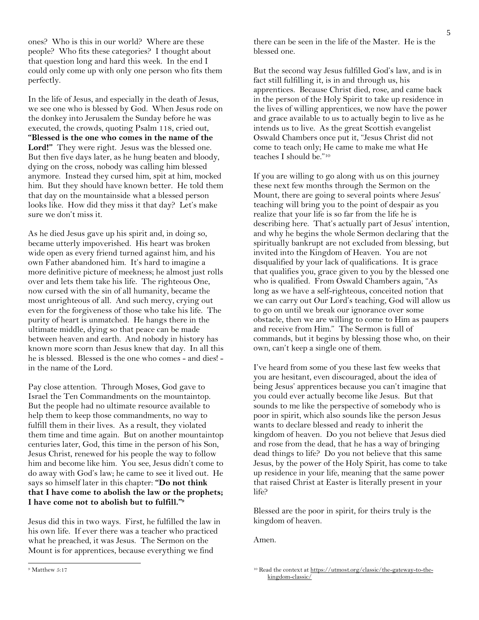ones? Who is this in our world? Where are these people? Who fits these categories? I thought about that question long and hard this week. In the end I could only come up with only one person who fits them perfectly.

In the life of Jesus, and especially in the death of Jesus, we see one who is blessed by God. When Jesus rode on the donkey into Jerusalem the Sunday before he was executed, the crowds, quoting Psalm 118, cried out, **"Blessed is the one who comes in the name of the**  Lord!" They were right. Jesus was the blessed one. But then five days later, as he hung beaten and bloody, dying on the cross, nobody was calling him blessed anymore. Instead they cursed him, spit at him, mocked him. But they should have known better. He told them that day on the mountainside what a blessed person looks like. How did they miss it that day? Let's make sure we don't miss it.

As he died Jesus gave up his spirit and, in doing so, became utterly impoverished. His heart was broken wide open as every friend turned against him, and his own Father abandoned him. It's hard to imagine a more definitive picture of meekness; he almost just rolls over and lets them take his life. The righteous One, now cursed with the sin of all humanity, became the most unrighteous of all. And such mercy, crying out even for the forgiveness of those who take his life. The purity of heart is unmatched. He hangs there in the ultimate middle, dying so that peace can be made between heaven and earth. And nobody in history has known more scorn than Jesus knew that day. In all this he is blessed. Blessed is the one who comes - and dies! in the name of the Lord.

Pay close attention. Through Moses, God gave to Israel the Ten Commandments on the mountaintop. But the people had no ultimate resource available to help them to keep those commandments, no way to fulfill them in their lives. As a result, they violated them time and time again. But on another mountaintop centuries later, God, this time in the person of his Son, Jesus Christ, renewed for his people the way to follow him and become like him. You see, Jesus didn't come to do away with God's law; he came to see it lived out. He says so himself later in this chapter: **"Do not think that I have come to abolish the law or the prophets; I have come not to abolish but to fulfill."<sup>9</sup>** 

Jesus did this in two ways. First, he fulfilled the law in his own life. If ever there was a teacher who practiced what he preached, it was Jesus. The Sermon on the Mount is for apprentices, because everything we find

there can be seen in the life of the Master. He is the blessed one.

But the second way Jesus fulfilled God's law, and is in fact still fulfilling it, is in and through us, his apprentices. Because Christ died, rose, and came back in the person of the Holy Spirit to take up residence in the lives of willing apprentices, we now have the power and grace available to us to actually begin to live as he intends us to live. As the great Scottish evangelist Oswald Chambers once put it, "Jesus Christ did not come to teach only; He came to make me what He teaches I should be."<sup>10</sup>

If you are willing to go along with us on this journey these next few months through the Sermon on the Mount, there are going to several points where Jesus' teaching will bring you to the point of despair as you realize that your life is so far from the life he is describing here. That's actually part of Jesus' intention, and why he begins the whole Sermon declaring that the spiritually bankrupt are not excluded from blessing, but invited into the Kingdom of Heaven. You are not disqualified by your lack of qualifications. It is grace that qualifies you, grace given to you by the blessed one who is qualified. From Oswald Chambers again, "As long as we have a self-righteous, conceited notion that we can carry out Our Lord's teaching, God will allow us to go on until we break our ignorance over some obstacle, then we are willing to come to Him as paupers and receive from Him." The Sermon is full of commands, but it begins by blessing those who, on their own, can't keep a single one of them.

I've heard from some of you these last few weeks that you are hesitant, even discouraged, about the idea of being Jesus' apprentices because you can't imagine that you could ever actually become like Jesus. But that sounds to me like the perspective of somebody who is poor in spirit, which also sounds like the person Jesus wants to declare blessed and ready to inherit the kingdom of heaven. Do you not believe that Jesus died and rose from the dead, that he has a way of bringing dead things to life? Do you not believe that this same Jesus, by the power of the Holy Spirit, has come to take up residence in your life, meaning that the same power that raised Christ at Easter is literally present in your life?

Blessed are the poor in spirit, for theirs truly is the kingdom of heaven.

Amen.

 $\overline{\phantom{a}}$ 

<sup>9</sup> Matthew 5:17

<sup>10</sup> Read the context a[t https://utmost.org/classic/the-gateway-to-the](https://utmost.org/classic/the-gateway-to-the-kingdom-classic/)[kingdom-classic/](https://utmost.org/classic/the-gateway-to-the-kingdom-classic/)